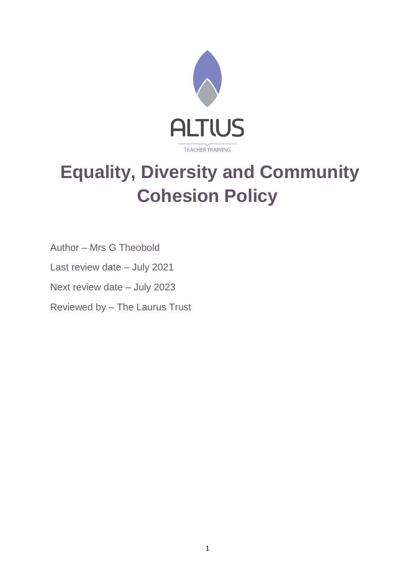

# **Equality, Diversity and Community Cohesion Policy**

Author – Mrs G Theobold

Last review date – July 2021

Next review date – July 2023

Reviewed by – The Laurus Trust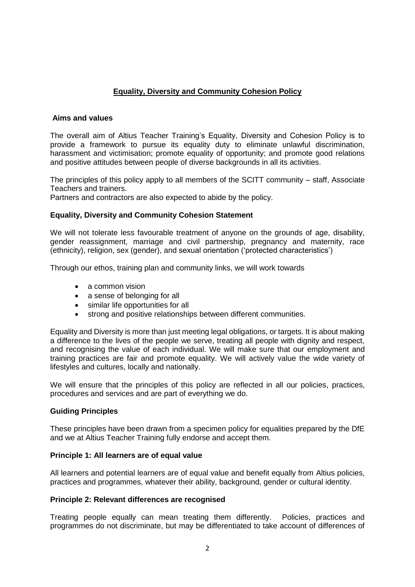# **Equality, Diversity and Community Cohesion Policy**

#### **Aims and values**

The overall aim of Altius Teacher Training's Equality, Diversity and Cohesion Policy is to provide a framework to pursue its equality duty to eliminate unlawful discrimination, harassment and victimisation; promote equality of opportunity; and promote good relations and positive attitudes between people of diverse backgrounds in all its activities.

The principles of this policy apply to all members of the SCITT community – staff, Associate Teachers and trainers.

Partners and contractors are also expected to abide by the policy.

# **Equality, Diversity and Community Cohesion Statement**

We will not tolerate less favourable treatment of anyone on the grounds of age, disability, gender reassignment, marriage and civil partnership, pregnancy and maternity, race (ethnicity), religion, sex (gender), and sexual orientation ('protected characteristics')

Through our ethos, training plan and community links, we will work towards

- a common vision
- a sense of belonging for all
- similar life opportunities for all
- strong and positive relationships between different communities.

Equality and Diversity is more than just meeting legal obligations, or targets. It is about making a difference to the lives of the people we serve, treating all people with dignity and respect, and recognising the value of each individual. We will make sure that our employment and training practices are fair and promote equality. We will actively value the wide variety of lifestyles and cultures, locally and nationally.

We will ensure that the principles of this policy are reflected in all our policies, practices, procedures and services and are part of everything we do.

# **Guiding Principles**

These principles have been drawn from a specimen policy for equalities prepared by the DfE and we at Altius Teacher Training fully endorse and accept them.

#### **Principle 1: All learners are of equal value**

All learners and potential learners are of equal value and benefit equally from Altius policies, practices and programmes, whatever their ability, background, gender or cultural identity.

#### **Principle 2: Relevant differences are recognised**

Treating people equally can mean treating them differently. Policies, practices and programmes do not discriminate, but may be differentiated to take account of differences of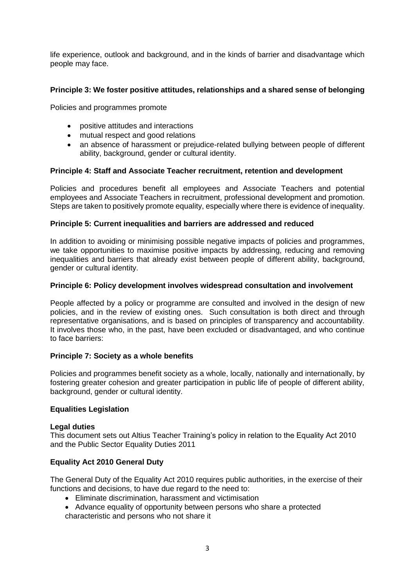life experience, outlook and background, and in the kinds of barrier and disadvantage which people may face.

# **Principle 3: We foster positive attitudes, relationships and a shared sense of belonging**

Policies and programmes promote

- positive attitudes and interactions
- mutual respect and good relations
- an absence of harassment or prejudice-related bullying between people of different ability, background, gender or cultural identity.

# **Principle 4: Staff and Associate Teacher recruitment, retention and development**

Policies and procedures benefit all employees and Associate Teachers and potential employees and Associate Teachers in recruitment, professional development and promotion. Steps are taken to positively promote equality, especially where there is evidence of inequality.

#### **Principle 5: Current inequalities and barriers are addressed and reduced**

In addition to avoiding or minimising possible negative impacts of policies and programmes, we take opportunities to maximise positive impacts by addressing, reducing and removing inequalities and barriers that already exist between people of different ability, background, gender or cultural identity.

#### **Principle 6: Policy development involves widespread consultation and involvement**

People affected by a policy or programme are consulted and involved in the design of new policies, and in the review of existing ones. Such consultation is both direct and through representative organisations, and is based on principles of transparency and accountability. It involves those who, in the past, have been excluded or disadvantaged, and who continue to face barriers:

# **Principle 7: Society as a whole benefits**

Policies and programmes benefit society as a whole, locally, nationally and internationally, by fostering greater cohesion and greater participation in public life of people of different ability, background, gender or cultural identity.

# **Equalities Legislation**

#### **Legal duties**

This document sets out Altius Teacher Training's policy in relation to the Equality Act 2010 and the Public Sector Equality Duties 2011

# **Equality Act 2010 General Duty**

The General Duty of the Equality Act 2010 requires public authorities, in the exercise of their functions and decisions, to have due regard to the need to:

- Eliminate discrimination, harassment and victimisation
- Advance equality of opportunity between persons who share a protected characteristic and persons who not share it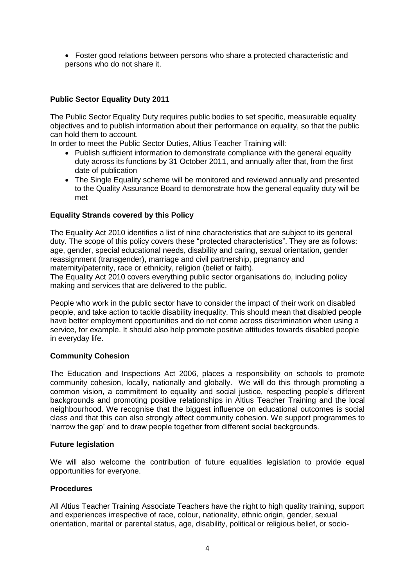• Foster good relations between persons who share a protected characteristic and persons who do not share it.

# **Public Sector Equality Duty 2011**

The Public Sector Equality Duty requires public bodies to set specific, measurable equality objectives and to publish information about their performance on equality, so that the public can hold them to account.

In order to meet the Public Sector Duties, Altius Teacher Training will:

- Publish sufficient information to demonstrate compliance with the general equality duty across its functions by 31 October 2011, and annually after that, from the first date of publication
- The Single Equality scheme will be monitored and reviewed annually and presented to the Quality Assurance Board to demonstrate how the general equality duty will be met

# **Equality Strands covered by this Policy**

The Equality Act 2010 identifies a list of nine characteristics that are subject to its general duty. The scope of this policy covers these "protected characteristics". They are as follows: age, gender, special educational needs, disability and caring, sexual orientation, gender reassignment (transgender), marriage and civil partnership, pregnancy and maternity/paternity, race or ethnicity, religion (belief or faith).

The Equality Act 2010 covers everything public sector organisations do, including policy making and services that are delivered to the public.

People who work in the public sector have to consider the impact of their work on disabled people, and take action to tackle disability inequality. This should mean that disabled people have better employment opportunities and do not come across discrimination when using a service, for example. It should also help promote positive attitudes towards disabled people in everyday life.

# **Community Cohesion**

The Education and Inspections Act 2006, places a responsibility on schools to promote community cohesion, locally, nationally and globally. We will do this through promoting a common vision, a commitment to equality and social justice, respecting people's different backgrounds and promoting positive relationships in Altius Teacher Training and the local neighbourhood. We recognise that the biggest influence on educational outcomes is social class and that this can also strongly affect community cohesion. We support programmes to 'narrow the gap' and to draw people together from different social backgrounds.

# **Future legislation**

We will also welcome the contribution of future equalities legislation to provide equal opportunities for everyone.

# **Procedures**

All Altius Teacher Training Associate Teachers have the right to high quality training, support and experiences irrespective of race, colour, nationality, ethnic origin, gender, sexual orientation, marital or parental status, age, disability, political or religious belief, or socio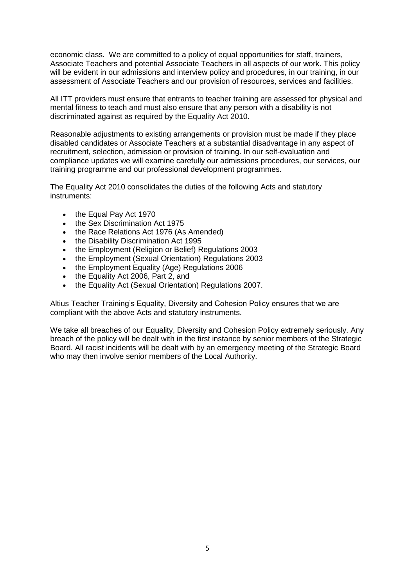economic class. We are committed to a policy of equal opportunities for staff, trainers, Associate Teachers and potential Associate Teachers in all aspects of our work. This policy will be evident in our admissions and interview policy and procedures, in our training, in our assessment of Associate Teachers and our provision of resources, services and facilities.

All ITT providers must ensure that entrants to teacher training are assessed for physical and mental fitness to teach and must also ensure that any person with a disability is not discriminated against as required by the Equality Act 2010.

Reasonable adjustments to existing arrangements or provision must be made if they place disabled candidates or Associate Teachers at a substantial disadvantage in any aspect of recruitment, selection, admission or provision of training. In our self-evaluation and compliance updates we will examine carefully our admissions procedures, our services, our training programme and our professional development programmes.

The Equality Act 2010 consolidates the duties of the following Acts and statutory instruments:

- the Equal Pay Act 1970
- the Sex Discrimination Act 1975
- the Race Relations Act 1976 (As Amended)
- the Disability Discrimination Act 1995
- the Employment (Religion or Belief) Regulations 2003
- the Employment (Sexual Orientation) Regulations 2003
- the Employment Equality (Age) Regulations 2006
- the Equality Act 2006, Part 2, and
- the Equality Act (Sexual Orientation) Regulations 2007.

Altius Teacher Training's Equality, Diversity and Cohesion Policy ensures that we are compliant with the above Acts and statutory instruments.

We take all breaches of our Equality, Diversity and Cohesion Policy extremely seriously. Any breach of the policy will be dealt with in the first instance by senior members of the Strategic Board. All racist incidents will be dealt with by an emergency meeting of the Strategic Board who may then involve senior members of the Local Authority.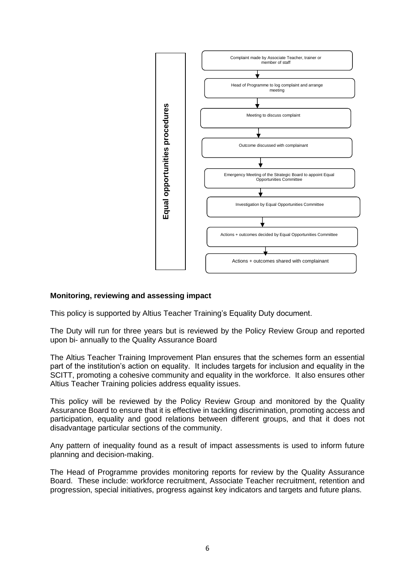

# **Monitoring, reviewing and assessing impact**

This policy is supported by Altius Teacher Training's Equality Duty document.

The Duty will run for three years but is reviewed by the Policy Review Group and reported upon bi- annually to the Quality Assurance Board

The Altius Teacher Training Improvement Plan ensures that the schemes form an essential part of the institution's action on equality. It includes targets for inclusion and equality in the SCITT, promoting a cohesive community and equality in the workforce. It also ensures other Altius Teacher Training policies address equality issues.

This policy will be reviewed by the Policy Review Group and monitored by the Quality Assurance Board to ensure that it is effective in tackling discrimination, promoting access and participation, equality and good relations between different groups, and that it does not disadvantage particular sections of the community.

Any pattern of inequality found as a result of impact assessments is used to inform future planning and decision-making.

The Head of Programme provides monitoring reports for review by the Quality Assurance Board. These include: workforce recruitment, Associate Teacher recruitment, retention and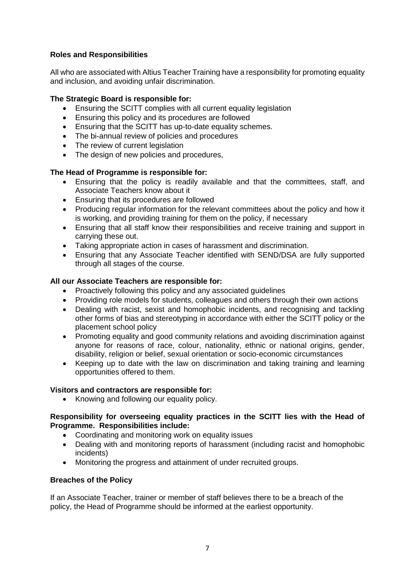# **Roles and Responsibilities**

All who are associated with Altius Teacher Training have a responsibility for promoting equality and inclusion, and avoiding unfair discrimination.

# **The Strategic Board is responsible for:**

- Ensuring the SCITT complies with all current equality legislation
- Ensuring this policy and its procedures are followed
- Ensuring that the SCITT has up-to-date equality schemes.
- The bi-annual review of policies and procedures
- The review of current legislation
- The design of new policies and procedures,

# **The Head of Programme is responsible for:**

- Ensuring that the policy is readily available and that the committees, staff, and Associate Teachers know about it
- Ensuring that its procedures are followed
- Producing regular information for the relevant committees about the policy and how it is working, and providing training for them on the policy, if necessary
- Ensuring that all staff know their responsibilities and receive training and support in carrying these out.
- Taking appropriate action in cases of harassment and discrimination.
- Ensuring that any Associate Teacher identified with SEND/DSA are fully supported through all stages of the course.

# **All our Associate Teachers are responsible for:**

- Proactively following this policy and any associated guidelines
- Providing role models for students, colleagues and others through their own actions
- Dealing with racist, sexist and homophobic incidents, and recognising and tackling other forms of bias and stereotyping in accordance with either the SCITT policy or the placement school policy
- Promoting equality and good community relations and avoiding discrimination against anyone for reasons of race, colour, nationality, ethnic or national origins, gender, disability, religion or belief, sexual orientation or socio-economic circumstances
- Keeping up to date with the law on discrimination and taking training and learning opportunities offered to them.

# **Visitors and contractors are responsible for:**

• Knowing and following our equality policy.

# **Responsibility for overseeing equality practices in the SCITT lies with the Head of Programme. Responsibilities include:**

- Coordinating and monitoring work on equality issues
- Dealing with and monitoring reports of harassment (including racist and homophobic incidents)
- Monitoring the progress and attainment of under recruited groups.

# **Breaches of the Policy**

If an Associate Teacher, trainer or member of staff believes there to be a breach of the policy, the Head of Programme should be informed at the earliest opportunity.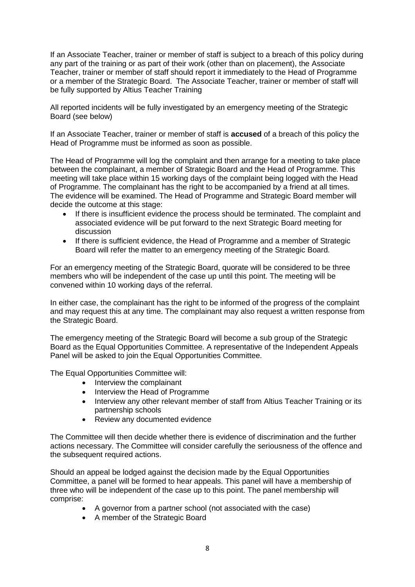If an Associate Teacher, trainer or member of staff is subject to a breach of this policy during any part of the training or as part of their work (other than on placement), the Associate Teacher, trainer or member of staff should report it immediately to the Head of Programme or a member of the Strategic Board. The Associate Teacher, trainer or member of staff will be fully supported by Altius Teacher Training

All reported incidents will be fully investigated by an emergency meeting of the Strategic Board (see below)

If an Associate Teacher, trainer or member of staff is **accused** of a breach of this policy the Head of Programme must be informed as soon as possible.

The Head of Programme will log the complaint and then arrange for a meeting to take place between the complainant, a member of Strategic Board and the Head of Programme. This meeting will take place within 15 working days of the complaint being logged with the Head of Programme. The complainant has the right to be accompanied by a friend at all times. The evidence will be examined. The Head of Programme and Strategic Board member will decide the outcome at this stage:

- If there is insufficient evidence the process should be terminated. The complaint and associated evidence will be put forward to the next Strategic Board meeting for discussion
- If there is sufficient evidence, the Head of Programme and a member of Strategic Board will refer the matter to an emergency meeting of the Strategic Board.

For an emergency meeting of the Strategic Board, quorate will be considered to be three members who will be independent of the case up until this point. The meeting will be convened within 10 working days of the referral.

In either case, the complainant has the right to be informed of the progress of the complaint and may request this at any time. The complainant may also request a written response from the Strategic Board.

The emergency meeting of the Strategic Board will become a sub group of the Strategic Board as the Equal Opportunities Committee. A representative of the Independent Appeals Panel will be asked to join the Equal Opportunities Committee.

The Equal Opportunities Committee will:

- Interview the complainant
- Interview the Head of Programme
- Interview any other relevant member of staff from Altius Teacher Training or its partnership schools
- Review any documented evidence

The Committee will then decide whether there is evidence of discrimination and the further actions necessary. The Committee will consider carefully the seriousness of the offence and the subsequent required actions.

Should an appeal be lodged against the decision made by the Equal Opportunities Committee, a panel will be formed to hear appeals. This panel will have a membership of three who will be independent of the case up to this point. The panel membership will comprise:

- A governor from a partner school (not associated with the case)
- A member of the Strategic Board